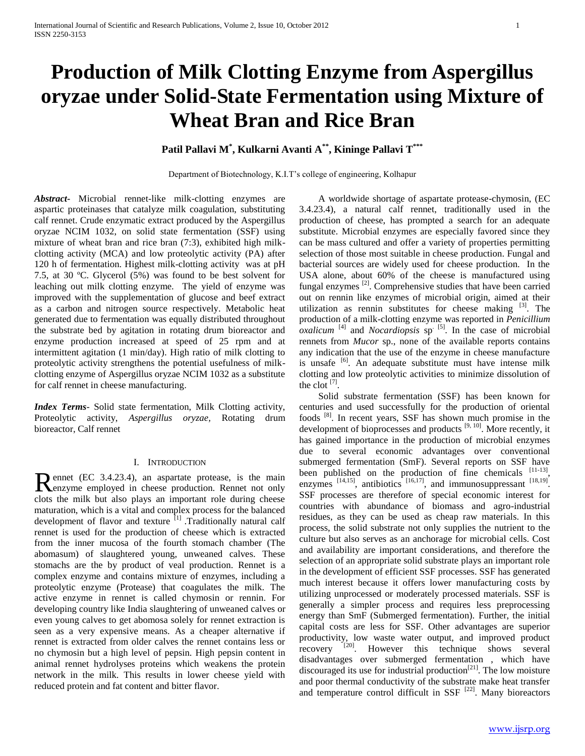# **Production of Milk Clotting Enzyme from Aspergillus oryzae under Solid-State Fermentation using Mixture of Wheat Bran and Rice Bran**

# **Patil Pallavi M\* , Kulkarni Avanti A\*\*, Kininge Pallavi T\*\*\***

Department of Biotechnology, K.I.T's college of engineering, Kolhapur

*Abstract***-** Microbial rennet-like milk-clotting enzymes are aspartic proteinases that catalyze milk coagulation, substituting calf rennet. Crude enzymatic extract produced by the Aspergillus oryzae NCIM 1032, on solid state fermentation (SSF) using mixture of wheat bran and rice bran (7:3), exhibited high milkclotting activity (MCA) and low proteolytic activity (PA) after 120 h of fermentation. Highest milk-clotting activity was at pH 7.5, at 30 ºC. Glycerol (5%) was found to be best solvent for leaching out milk clotting enzyme. The yield of enzyme was improved with the supplementation of glucose and beef extract as a carbon and nitrogen source respectively. Metabolic heat generated due to fermentation was equally distributed throughout the substrate bed by agitation in rotating drum bioreactor and enzyme production increased at speed of 25 rpm and at intermittent agitation (1 min/day). High ratio of milk clotting to proteolytic activity strengthens the potential usefulness of milkclotting enzyme of Aspergillus oryzae NCIM 1032 as a substitute for calf rennet in cheese manufacturing.

*Index Terms*- Solid state fermentation, Milk Clotting activity, Proteolytic activity, *Aspergillus oryzae,* Rotating drum bioreactor, Calf rennet

## I. INTRODUCTION

ennet (EC 3.4.23.4), an aspartate protease, is the main Rennet (EC 3.4.23.4), an aspartate protease, is the main<br>Renzyme employed in cheese production. Rennet not only clots the milk but also plays an important role during cheese maturation, which is a vital and complex process for the balanced development of flavor and texture  $[1]$ . Traditionally natural calf rennet is used for the production of cheese which is extracted from the inner mucosa of the fourth stomach chamber (The abomasum) of slaughtered young, unweaned calves. These stomachs are the by product of veal production. Rennet is a complex enzyme and contains mixture of enzymes, including a proteolytic enzyme (Protease) that coagulates the milk. The active enzyme in rennet is called chymosin or rennin. For developing country like India slaughtering of unweaned calves or even young calves to get abomosa solely for rennet extraction is seen as a very expensive means. As a cheaper alternative if rennet is extracted from older calves the rennet contains less or no chymosin but a high level of pepsin. High pepsin content in animal rennet hydrolyses proteins which weakens the protein network in the milk. This results in lower cheese yield with reduced protein and fat content and bitter flavor.

 A worldwide shortage of aspartate protease-chymosin, (EC 3.4.23.4), a natural calf rennet, traditionally used in the production of cheese, has prompted a search for an adequate substitute. Microbial enzymes are especially favored since they can be mass cultured and offer a variety of properties permitting selection of those most suitable in cheese production. Fungal and bacterial sources are widely used for cheese production. In the USA alone, about 60% of the cheese is manufactured using fungal enzymes<sup>[2]</sup>. Comprehensive studies that have been carried out on rennin like enzymes of microbial origin, aimed at their utilization as rennin substitutes for cheese making  $[3]$ . The production of a milk-clotting enzyme was reported in *Penicillium oxalicum* <sup>[4]</sup> and *Nocardiopsis* sp<sup>. [5]</sup>. In the case of microbial rennets from *Mucor* sp., none of the available reports contains any indication that the use of the enzyme in cheese manufacture is unsafe  $[6]$ . An adequate substitute must have intense milk clotting and low proteolytic activities to minimize dissolution of the clot  $^{[7]}$ .

 Solid substrate fermentation (SSF) has been known for centuries and used successfully for the production of oriental foods [8]. In recent years, SSF has shown much promise in the development of bioprocesses and products  $[9, 10]$ . More recently, it has gained importance in the production of microbial enzymes due to several economic advantages over conventional submerged fermentation (SmF). Several reports on SSF have been published on the production of fine chemicals  $[11-13]$ , enzymes  $^{[14,15]}$ , antibiotics  $^{[16,17]}$ , and immunosuppressant  $^{[18,19]}$ . SSF processes are therefore of special economic interest for countries with abundance of biomass and agro-industrial residues, as they can be used as cheap raw materials. In this process, the solid substrate not only supplies the nutrient to the culture but also serves as an anchorage for microbial cells. Cost and availability are important considerations, and therefore the selection of an appropriate solid substrate plays an important role in the development of efficient SSF processes. SSF has generated much interest because it offers lower manufacturing costs by utilizing unprocessed or moderately processed materials. SSF is generally a simpler process and requires less preprocessing energy than SmF (Submerged fermentation). Further, the initial capital costs are less for SSF. Other advantages are superior productivity, low waste water output, and improved product recovery [20]. However this technique shows several disadvantages over submerged fermentation , which have discouraged its use for industrial production<sup>[21]</sup>. The low moisture and poor thermal conductivity of the substrate make heat transfer and temperature control difficult in SSF  $[22]$ . Many bioreactors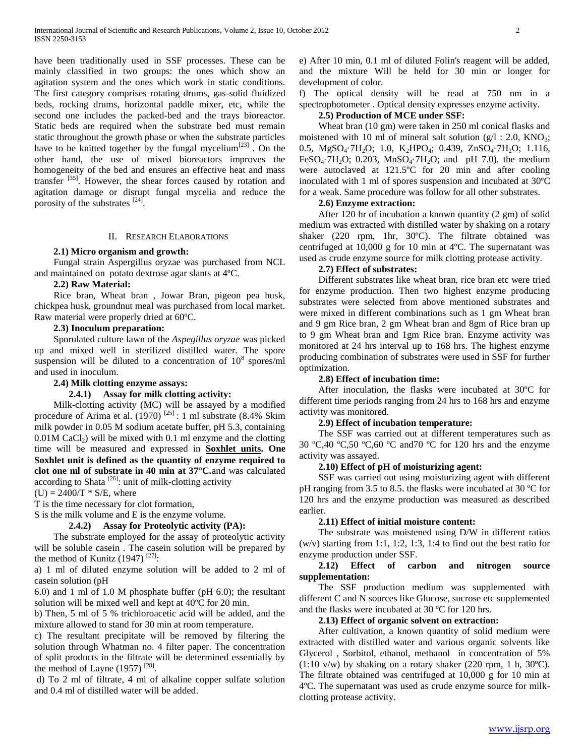have been traditionally used in SSF processes. These can be mainly classified in two groups: the ones which show an agitation system and the ones which work in static conditions. The first category comprises rotating drums, gas-solid fluidized beds, rocking drums, horizontal paddle mixer, etc, while the second one includes the packed-bed and the trays bioreactor. Static beds are required when the substrate bed must remain static throughout the growth phase or when the substrate particles have to be knitted together by the fungal mycelium<sup>[23]</sup>. On the other hand, the use of mixed bioreactors improves the homogeneity of the bed and ensures an effective heat and mass transfer [35]. However, the shear forces caused by rotation and agitation damage or disrupt fungal mycelia and reduce the porosity of the substrates  $^{[24]}$ .

#### II. RESEARCH ELABORATIONS

#### **2.1) Micro organism and growth:**

 Fungal strain Aspergillus oryzae was purchased from NCL and maintained on potato dextrose agar slants at 4ºC.

#### **2.2) Raw Material:**

 Rice bran, Wheat bran , Jowar Bran, pigeon pea husk, chickpea husk, groundnut meal was purchased from local market. Raw material were properly dried at 60ºC.

# **2.3) Inoculum preparation:**

 Sporulated culture lawn of the *Aspegillus oryzae* was picked up and mixed well in sterilized distilled water. The spore suspension will be diluted to a concentration of  $10^8$  spores/ml and used in inoculum.

#### **2.4) Milk clotting enzyme assays:**

## **2.4.1) Assay for milk clotting activity:**

 Milk-clotting activity (MC) will be assayed by a modified procedure of Arima et al.  $(1970)$ <sup>[25]</sup> : 1 ml substrate (8.4% Skim milk powder in 0.05 M sodium acetate buffer, pH 5.3, containing  $0.01M$  CaCl<sub>2</sub>) will be mixed with 0.1 ml enzyme and the clotting time will be measured and expressed in **Soxhlet units. One Soxhlet unit is defined as the quantity of enzyme required to clot one ml of substrate in 40 min at 37°C.**and was calculated according to Shata  $^{[26]}$ : unit of milk-clotting activity

 $(U) = 2400/T * S/E$ , where

T is the time necessary for clot formation,

S is the milk volume and E is the enzyme volume.

#### **2.4.2) Assay for Proteolytic activity (PA):**

 The substrate employed for the assay of proteolytic activity will be soluble casein . The casein solution will be prepared by the method of Kunitz (1947)<sup>[27]</sup>:

a) 1 ml of diluted enzyme solution will be added to 2 ml of casein solution (pH

6.0) and 1 ml of 1.0 M phosphate buffer (pH 6.0); the resultant solution will be mixed well and kept at 40ºC for 20 min.

b) Then, 5 ml of 5 % trichloroacetic acid will be added, and the mixture allowed to stand for 30 min at room temperature.

c) The resultant precipitate will be removed by filtering the solution through Whatman no. 4 filter paper. The concentration of split products in the filtrate will be determined essentially by the method of Layne  $(1957)$ <sup>[28]</sup>.

d) To 2 ml of filtrate, 4 ml of alkaline copper sulfate solution and 0.4 ml of distilled water will be added.

e) After 10 min, 0.1 ml of diluted Folin's reagent will be added, and the mixture Will be held for 30 min or longer for development of color.

f) The optical density will be read at 750 nm in a spectrophotometer . Optical density expresses enzyme activity.

#### **2.5) Production of MCE under SSF:**

 Wheat bran (10 gm) were taken in 250 ml conical flasks and moistened with 10 ml of mineral salt solution ( $g/1$  : 2.0, KNO<sub>3</sub>; 0.5,  $MgSO_4$ ·7H<sub>2</sub>O; 1.0, K<sub>2</sub>HPO<sub>4</sub>; 0.439, ZnSO<sub>4</sub>·7H<sub>2</sub>O; 1.116, FeSO<sub>4</sub>·7H<sub>2</sub>O; 0.203, MnSO<sub>4</sub>·7H<sub>2</sub>O; and pH 7.0). the medium were autoclaved at 121.5ºC for 20 min and after cooling inoculated with 1 ml of spores suspension and incubated at 30ºC for a weak. Same procedure was follow for all other substrates.

## **2.6) Enzyme extraction:**

 After 120 hr of incubation a known quantity (2 gm) of solid medium was extracted with distilled water by shaking on a rotary shaker (220 rpm, 1hr, 30ºC). The filtrate obtained was centrifuged at 10,000 g for 10 min at 4ºC. The supernatant was used as crude enzyme source for milk clotting protease activity.

#### **2.7) Effect of substrates:**

 Different substrates like wheat bran, rice bran etc were tried for enzyme production. Then two highest enzyme producing substrates were selected from above mentioned substrates and were mixed in different combinations such as 1 gm Wheat bran and 9 gm Rice bran, 2 gm Wheat bran and 8gm of Rice bran up to 9 gm Wheat bran and 1gm Rice bran. Enzyme activity was monitored at 24 hrs interval up to 168 hrs. The highest enzyme producing combination of substrates were used in SSF for further optimization.

#### **2.8) Effect of incubation time:**

 After inoculation, the flasks were incubated at 30ºC for different time periods ranging from 24 hrs to 168 hrs and enzyme activity was monitored.

#### **2.9) Effect of incubation temperature:**

 The SSF was carried out at different temperatures such as 30 ºC,40 ºC,50 ºC,60 ºC and70 ºC for 120 hrs and the enzyme activity was assayed.

#### **2.10) Effect of pH of moisturizing agent:**

 SSF was carried out using moisturizing agent with different pH ranging from 3.5 to 8.5. the flasks were incubated at 30 ºC for 120 hrs and the enzyme production was measured as described earlier.

#### **2.11) Effect of initial moisture content:**

 The substrate was moistened using D/W in different ratios  $(w/v)$  starting from 1:1, 1:2, 1:3, 1:4 to find out the best ratio for enzyme production under SSF.

## **2.12) Effect of carbon and nitrogen source supplementation:**

 The SSF production medium was supplemented with different C and N sources like Glucose, sucrose etc supplemented and the flasks were incubated at 30 ºC for 120 hrs.

#### **2.13) Effect of organic solvent on extraction:**

 After cultivation, a known quantity of solid medium were extracted with distilled water and various organic solvents like Glycerol , Sorbitol, ethanol, methanol in concentration of 5%  $(1:10 \text{ v/w})$  by shaking on a rotary shaker  $(220 \text{ rpm}, 1 \text{ h}, 30^{\circ}\text{C})$ . The filtrate obtained was centrifuged at 10,000 g for 10 min at 4ºC. The supernatant was used as crude enzyme source for milkclotting protease activity.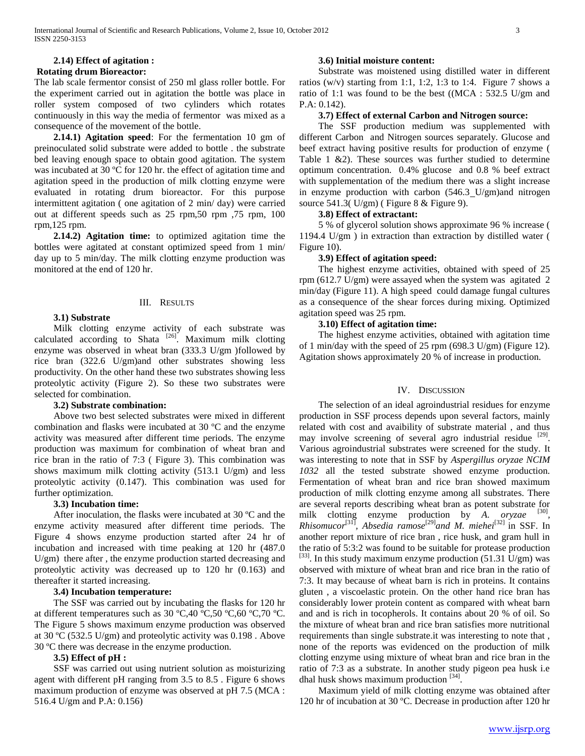# **2.14) Effect of agitation : Rotating drum Bioreactor:**

The lab scale fermentor consist of 250 ml glass roller bottle. For the experiment carried out in agitation the bottle was place in roller system composed of two cylinders which rotates continuously in this way the media of fermentor was mixed as a consequence of the movement of the bottle.

 **2.14.1) Agitation speed**: For the fermentation 10 gm of preinoculated solid substrate were added to bottle . the substrate bed leaving enough space to obtain good agitation. The system was incubated at 30 °C for 120 hr. the effect of agitation time and agitation speed in the production of milk clotting enzyme were evaluated in rotating drum bioreactor. For this purpose intermittent agitation ( one agitation of 2 min/ day) were carried out at different speeds such as 25 rpm,50 rpm ,75 rpm, 100 rpm,125 rpm.

 **2.14.2) Agitation time:** to optimized agitation time the bottles were agitated at constant optimized speed from 1 min/ day up to 5 min/day. The milk clotting enzyme production was monitored at the end of 120 hr.

## III. RESULTS

# **3.1) Substrate**

 Milk clotting enzyme activity of each substrate was calculated according to Shata [26]. Maximum milk clotting enzyme was observed in wheat bran (333.3 U/gm )followed by rice bran (322.6 U/gm)and other substrates showing less productivity. On the other hand these two substrates showing less proteolytic activity (Figure 2). So these two substrates were selected for combination.

## **3.2) Substrate combination:**

 Above two best selected substrates were mixed in different combination and flasks were incubated at 30 ºC and the enzyme activity was measured after different time periods. The enzyme production was maximum for combination of wheat bran and rice bran in the ratio of 7:3 ( Figure 3). This combination was shows maximum milk clotting activity (513.1 U/gm) and less proteolytic activity (0.147). This combination was used for further optimization.

# **3.3) Incubation time:**

 After inoculation, the flasks were incubated at 30 ºC and the enzyme activity measured after different time periods. The Figure 4 shows enzyme production started after 24 hr of incubation and increased with time peaking at 120 hr (487.0 U/gm) there after , the enzyme production started decreasing and proteolytic activity was decreased up to 120 hr (0.163) and thereafter it started increasing.

# **3.4) Incubation temperature:**

 The SSF was carried out by incubating the flasks for 120 hr at different temperatures such as 30 ºC,40 ºC,50 ºC,60 ºC,70 ºC. The Figure 5 shows maximum enzyme production was observed at 30 ºC (532.5 U/gm) and proteolytic activity was 0.198 . Above 30 ºC there was decrease in the enzyme production.

# **3.5) Effect of pH :**

 SSF was carried out using nutrient solution as moisturizing agent with different pH ranging from 3.5 to 8.5 . Figure 6 shows maximum production of enzyme was observed at pH 7.5 (MCA : 516.4 U/gm and P.A: 0.156)

## **3.6) Initial moisture content:**

 Substrate was moistened using distilled water in different ratios (w/v) starting from 1:1, 1:2, 1:3 to 1:4. Figure 7 shows a ratio of 1:1 was found to be the best ((MCA : 532.5 U/gm and P.A: 0.142).

# **3.7) Effect of external Carbon and Nitrogen source:**

 The SSF production medium was supplemented with different Carbon and Nitrogen sources separately. Glucose and beef extract having positive results for production of enzyme ( Table 1 &2). These sources was further studied to determine optimum concentration. 0.4% glucose and 0.8 % beef extract with supplementation of the medium there was a slight increase in enzyme production with carbon (546.3 U/gm)and nitrogen source 541.3( U/gm) ( Figure 8 & Figure 9).

# **3.8) Effect of extractant:**

 5 % of glycerol solution shows approximate 96 % increase ( 1194.4 U/gm ) in extraction than extraction by distilled water ( Figure 10).

## **3.9) Effect of agitation speed:**

 The highest enzyme activities, obtained with speed of 25 rpm (612.7 U/gm) were assayed when the system was agitated 2 min/day (Figure 11). A high speed could damage fungal cultures as a consequence of the shear forces during mixing. Optimized agitation speed was 25 rpm.

## **3.10) Effect of agitation time:**

 The highest enzyme activities, obtained with agitation time of 1 min/day with the speed of 25 rpm (698.3 U/gm) (Figure 12). Agitation shows approximately 20 % of increase in production.

# IV. DISCUSSION

 The selection of an ideal agroindustrial residues for enzyme production in SSF process depends upon several factors, mainly related with cost and avaibility of substrate material , and thus may involve screening of several agro industrial residue  $[29]$ . Various agroindustrial substrates were screened for the study. It was interesting to note that in SSF by *Aspergillus oryzae NCIM 1032* all the tested substrate showed enzyme production. Fermentation of wheat bran and rice bran showed maximum production of milk clotting enzyme among all substrates. There are several reports describing wheat bran as potent substrate for milk clotting enzyme production by *A. oryzae* <sup>[30]</sup>, *Rhisomucor*[31]*, Absedia ramose*[29]*and M. miehei*[32] in SSF. In another report mixture of rice bran , rice husk, and gram hull in the ratio of 5:3:2 was found to be suitable for protease production  $^{[33]}$ . In this study maximum enzyme production (51.31 U/gm) was observed with mixture of wheat bran and rice bran in the ratio of 7:3. It may because of wheat barn is rich in proteins. It contains gluten , a viscoelastic protein. On the other hand rice bran has considerably lower protein content as compared with wheat barn and and is rich in tocopherols. It contains about 20 % of oil. So the mixture of wheat bran and rice bran satisfies more nutritional requirements than single substrate.it was interesting to note that , none of the reports was evidenced on the production of milk clotting enzyme using mixture of wheat bran and rice bran in the ratio of 7:3 as a substrate. In another study pigeon pea husk i.e dhal husk shows maximum production  $^{[34]}$ .

 Maximum yield of milk clotting enzyme was obtained after 120 hr of incubation at 30 ºC. Decrease in production after 120 hr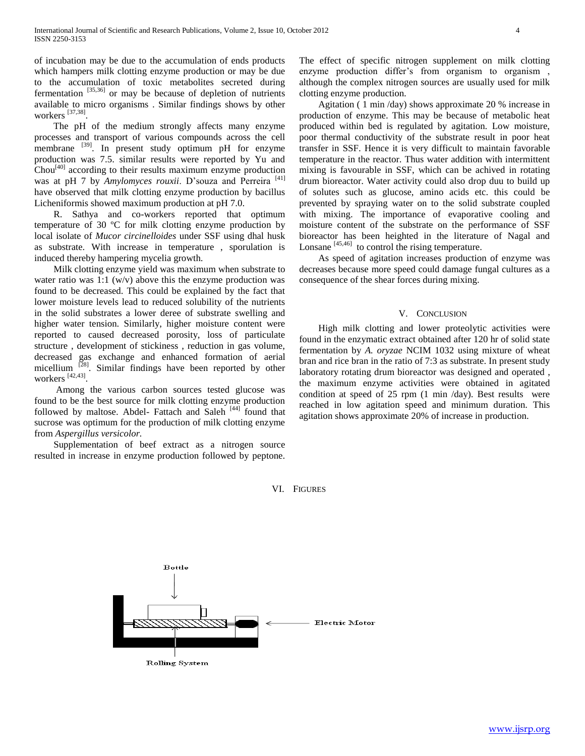of incubation may be due to the accumulation of ends products which hampers milk clotting enzyme production or may be due to the accumulation of toxic metabolites secreted during fermentation  $[35,36]$  or may be because of depletion of nutrients available to micro organisms . Similar findings shows by other workers [37,38] .

 The pH of the medium strongly affects many enzyme processes and transport of various compounds across the cell membrane  $^{[39]}$ . In present study optimum pH for enzyme production was 7.5. similar results were reported by Yu and  $Chou<sup>[40]</sup> according to their results maximum enzyme production$ was at pH 7 by *Amylomyces rouxii*. D'souza and Perreira<sup>[41]</sup> have observed that milk clotting enzyme production by bacillus Licheniformis showed maximum production at pH 7.0.

 R. Sathya and co-workers reported that optimum temperature of 30 ºC for milk clotting enzyme production by local isolate of *Mucor circinelloides* under SSF using dhal husk as substrate. With increase in temperature , sporulation is induced thereby hampering mycelia growth.

 Milk clotting enzyme yield was maximum when substrate to water ratio was 1:1 ( $w/v$ ) above this the enzyme production was found to be decreased. This could be explained by the fact that lower moisture levels lead to reduced solubility of the nutrients in the solid substrates a lower deree of substrate swelling and higher water tension. Similarly, higher moisture content were reported to caused decreased porosity, loss of particulate structure , development of stickiness , reduction in gas volume, decreased gas exchange and enhanced formation of aerial micellium <sup>[28]</sup>. Similar findings have been reported by other workers [42,43] .

 Among the various carbon sources tested glucose was found to be the best source for milk clotting enzyme production followed by maltose. Abdel- Fattach and Saleh [44] found that sucrose was optimum for the production of milk clotting enzyme from *Aspergillus versicolor.*

 Supplementation of beef extract as a nitrogen source resulted in increase in enzyme production followed by peptone.

The effect of specific nitrogen supplement on milk clotting enzyme production differ's from organism to organism , although the complex nitrogen sources are usually used for milk clotting enzyme production.

 Agitation ( 1 min /day) shows approximate 20 % increase in production of enzyme. This may be because of metabolic heat produced within bed is regulated by agitation. Low moisture, poor thermal conductivity of the substrate result in poor heat transfer in SSF. Hence it is very difficult to maintain favorable temperature in the reactor. Thus water addition with intermittent mixing is favourable in SSF, which can be achived in rotating drum bioreactor. Water activity could also drop duu to build up of solutes such as glucose, amino acids etc. this could be prevented by spraying water on to the solid substrate coupled with mixing. The importance of evaporative cooling and moisture content of the substrate on the performance of SSF bioreactor has been heighted in the literature of Nagal and Lonsane  $[45,46]$  to control the rising temperature.

 As speed of agitation increases production of enzyme was decreases because more speed could damage fungal cultures as a consequence of the shear forces during mixing.

#### V. CONCLUSION

 High milk clotting and lower proteolytic activities were found in the enzymatic extract obtained after 120 hr of solid state fermentation by *A. oryzae* NCIM 1032 using mixture of wheat bran and rice bran in the ratio of 7:3 as substrate. In present study laboratory rotating drum bioreactor was designed and operated , the maximum enzyme activities were obtained in agitated condition at speed of 25 rpm (1 min /day). Best results were reached in low agitation speed and minimum duration. This agitation shows approximate 20% of increase in production.

VI. FIGURES

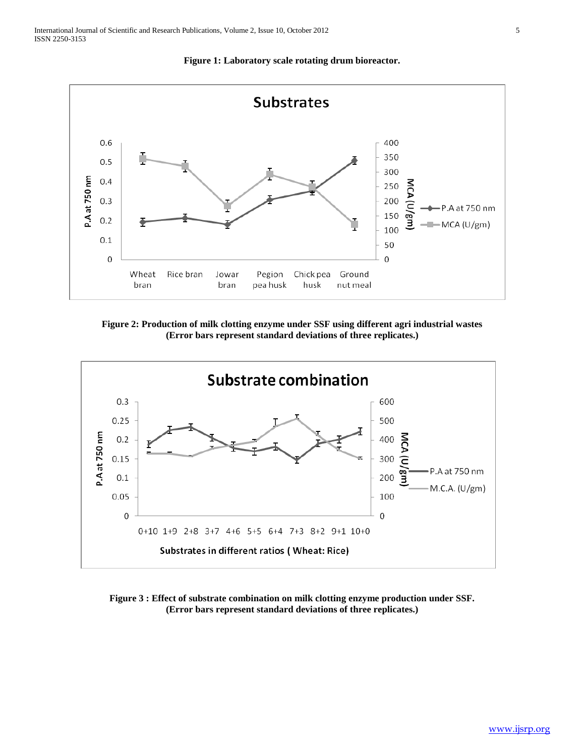

**Figure 1: Laboratory scale rotating drum bioreactor.**

**Figure 2: Production of milk clotting enzyme under SSF using different agri industrial wastes (Error bars represent standard deviations of three replicates.)**



**Figure 3 : Effect of substrate combination on milk clotting enzyme production under SSF. (Error bars represent standard deviations of three replicates.)**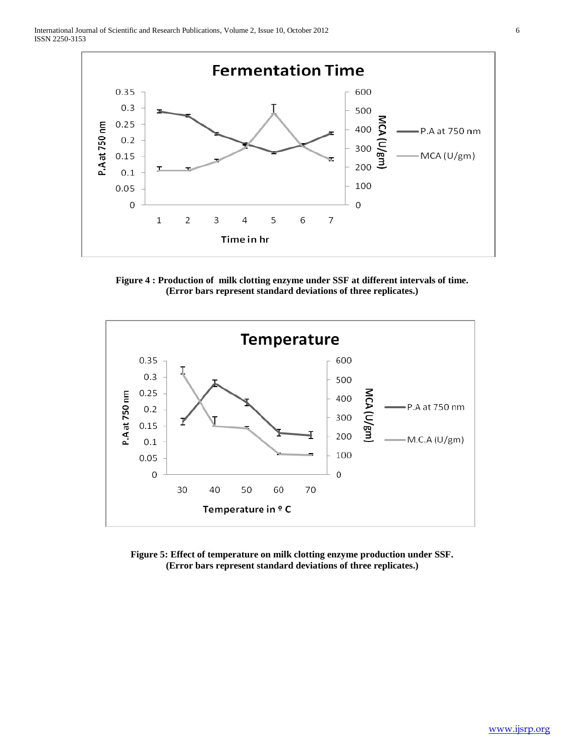

**Figure 4 : Production of milk clotting enzyme under SSF at different intervals of time. (Error bars represent standard deviations of three replicates.)**



**Figure 5: Effect of temperature on milk clotting enzyme production under SSF. (Error bars represent standard deviations of three replicates.)**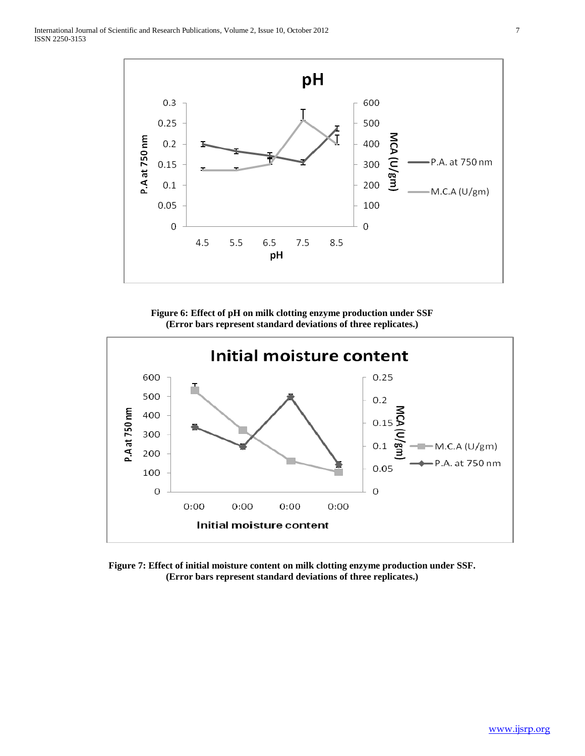

**Figure 6: Effect of pH on milk clotting enzyme production under SSF (Error bars represent standard deviations of three replicates.)**



**Figure 7: Effect of initial moisture content on milk clotting enzyme production under SSF. (Error bars represent standard deviations of three replicates.)**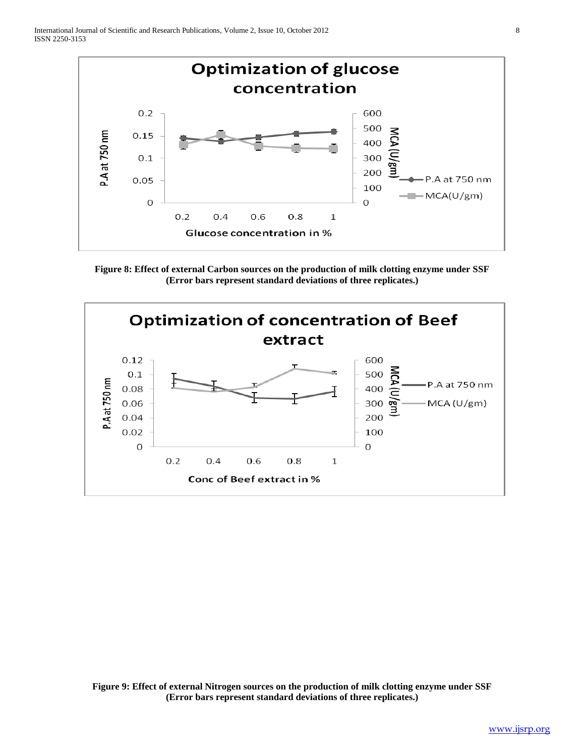

**Figure 8: Effect of external Carbon sources on the production of milk clotting enzyme under SSF (Error bars represent standard deviations of three replicates.)**



**Figure 9: Effect of external Nitrogen sources on the production of milk clotting enzyme under SSF (Error bars represent standard deviations of three replicates.)**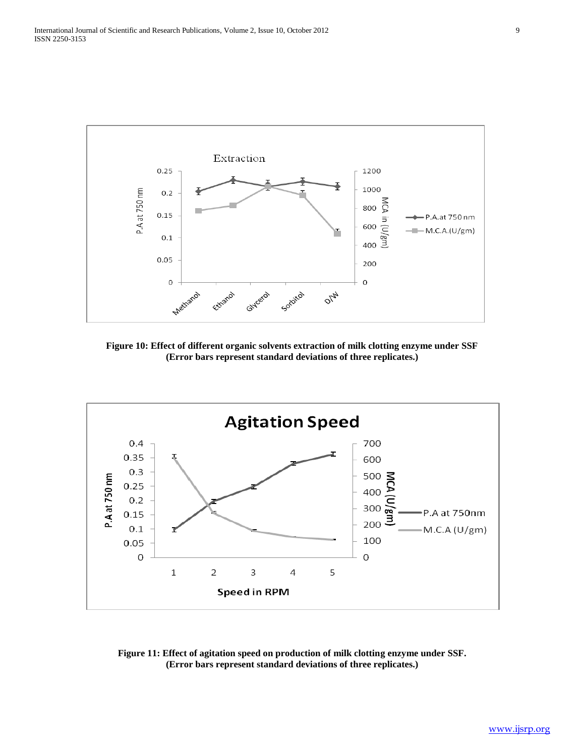

**Figure 10: Effect of different organic solvents extraction of milk clotting enzyme under SSF (Error bars represent standard deviations of three replicates.)**



**Figure 11: Effect of agitation speed on production of milk clotting enzyme under SSF. (Error bars represent standard deviations of three replicates.)**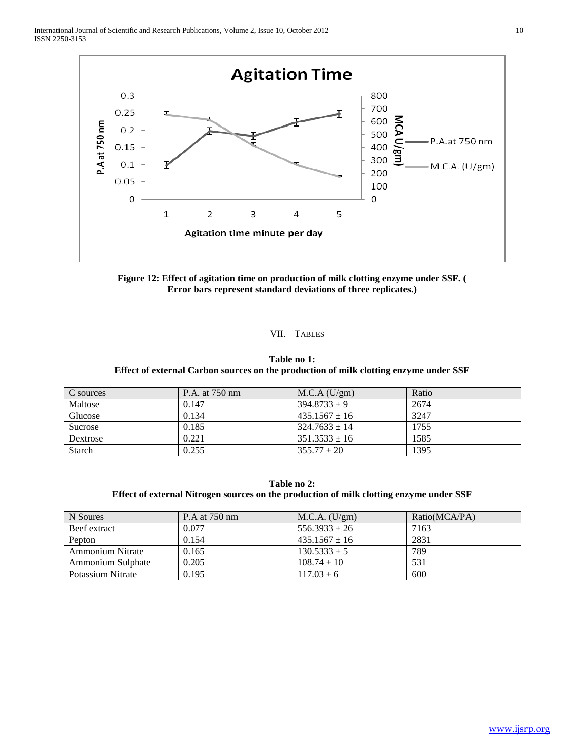

**Figure 12: Effect of agitation time on production of milk clotting enzyme under SSF. ( Error bars represent standard deviations of three replicates.)**

#### VII. TABLES

## **Table no 1: Effect of external Carbon sources on the production of milk clotting enzyme under SSF**

| C sources | P.A. at 750 nm | M.C.A (U/gm)      | Ratio |
|-----------|----------------|-------------------|-------|
| Maltose   | 0.147          | $394.8733 + 9$    | 2674  |
| Glucose   | 0.134          | $435.1567 \pm 16$ | 3247  |
| Sucrose   | 0.185          | $324.7633 + 14$   | 1755  |
| Dextrose  | 0.221          | $351.3533 + 16$   | 1585  |
| Starch    | 0.255          | $355.77 \pm 20$   | 1395  |

**Table no 2: Effect of external Nitrogen sources on the production of milk clotting enzyme under SSF**

| N Soures                | P.A at 750 nm | M.C.A. (U/gm)     | Ratio(MCA/PA) |
|-------------------------|---------------|-------------------|---------------|
| Beef extract            | 0.077         | $556.3933 \pm 26$ | 7163          |
| Pepton                  | 0.154         | $435.1567 \pm 16$ | 2831          |
| <b>Ammonium Nitrate</b> | 0.165         | $130.5333 \pm 5$  | 789           |
| Ammonium Sulphate       | 0.205         | $108.74 \pm 10$   | 531           |
| Potassium Nitrate       | 0.195         | $117.03 \pm 6$    | 600           |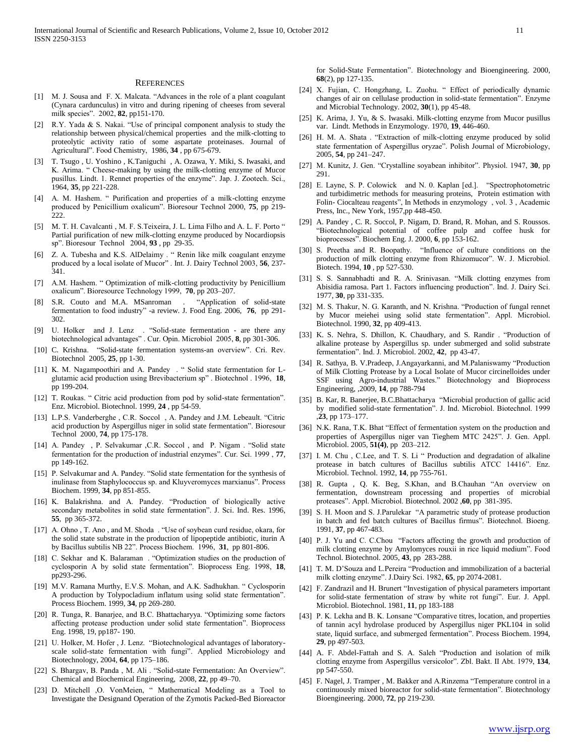#### **REFERENCES**

- [1] M. J. Sousa and F. X. Malcata. "Advances in the role of a plant coagulant (Cynara cardunculus) in vitro and during ripening of cheeses from several milk species". 2002, **82**, pp151-170.
- [2] R.Y. Yada & S. Nakai. "Use of principal component analysis to study the relationship between physical/chemical properties and the milk-clotting to proteolytic activity ratio of some aspartate proteinases. Journal of Agricultural". Food Chemistry, 1986, **34** , pp 675-679.
- [3] T. Tsugo , U. Yoshino , K.Taniguchi , A. Ozawa, Y. Miki, S. Iwasaki, and K. Arima. " Cheese-making by using the milk-clotting enzyme of Mucor pusillus. Lindt. 1. Rennet properties of the enzyme". Jap. J. Zootech. Sci., 1964, **35**, pp 221-228.
- [4] A. M. Hashem. " Purification and properties of a milk-clotting enzyme produced by Penicillium oxalicum". Bioresour Technol 2000, **75**, pp 219- 222.
- [5] M. T. H. Cavalcanti , M. F. S.Teixeira, J. L. Lima Filho and A. L. F. Porto " Partial purification of new milk-clotting enzyme produced by Nocardiopsis sp". Bioresour Technol 2004, **93** , pp 29-35.
- [6] Z. A. Tubesha and K.S. AlDelaimy . " Renin like milk coagulant enzyme produced by a local isolate of Mucor" . Int. J. Dairy Technol 2003, **56**, 237- 341.
- [7] A.M. Hashem. " Optimization of milk-clotting productivity by Penicillium oxalicum". Bioresource Technology 1999, **70**, pp 203–207.
- [8] S.R. Couto and M.A. MSanroman . "Application of solid-state fermentation to food industry" -a review. J. Food Eng. 2006, **76**, pp 291- 302.
- [9] U. Holker and J. Lenz . "Solid-state fermentation are there any biotechnological advantages" . Cur. Opin. Microbiol 2005, **8**, pp 301-306.
- [10] C. Krishna. "Solid-state fermentation systems-an overview". Cri. Rev. Biotechnol 2005, **25**, pp 1-30.
- [11] K. M. Nagampoothiri and A. Pandey . " Solid state fermentation for Lglutamic acid production using Brevibacterium sp" . Biotechnol . 1996, **18**, pp 199-204.
- [12] T. Roukas. " Citric acid production from pod by solid-state fermentation". Enz. Microbiol. Biotechnol. 1999, **24** , pp 54-59.
- [13] L.P.S. Vanderberghe, C.R. Soccol, A. Pandey and J.M. Lebeault. "Citric acid production by Aspergillus niger in solid state fermentation". Bioresour Technol 2000, **74**, pp 175-178.
- [14] A. Pandey, P. Selvakumar, C.R. Soccol, and P. Nigam . "Solid state fermentation for the production of industrial enzymes". Cur. Sci. 1999 , **77**, pp 149-162.
- [15] P. Selvakumar and A. Pandey. "Solid state fermentation for the synthesis of inulinase from Staphylococcus sp. and Kluyveromyces marxianus". Process Biochem. 1999, **34**, pp 851-855.
- [16] K. Balakrishna. and A. Pandey. "Production of biologically active secondary metabolites in solid state fermentation". J. Sci. Ind. Res. 1996, **55**, pp 365-372.
- [17] A. Ohno , T. Ano , and M. Shoda . "Use of soybean curd residue, okara, for the solid state substrate in the production of lipopeptide antibiotic, iturin A by Bacillus subtilis NB 22". Process Biochem. 1996, **31**, pp 801-806.
- [18] C. Sekhar and K. Balaraman . "Optimization studies on the production of cyclosporin A by solid state fermentation". Bioprocess Eng. 1998, **18**, pp293-296.
- [19] M.V. Ramana Murthy, E.V.S. Mohan, and A.K. Sadhukhan. " Cyclosporin A production by Tolypocladium inflatum using solid state fermentation". Process Biochem. 1999, **34**, pp 269-280.
- [20] R. Tunga, R. Banarjee, and B.C. Bhattacharyya. "Optimizing some factors affecting protease production under solid state fermentation". Bioprocess Eng. 1998, 19, pp187- 190.
- [21] U. Holker, M. Hofer, J. Lenz. "Biotechnological advantages of laboratoryscale solid-state fermentation with fungi". Applied Microbiology and Biotechnology, 2004, **64**, pp 175–186.
- [22] S. Bhargav, B. Panda, M. Ali. "Solid-state Fermentation: An Overview". Chemical and Biochemical Engineering, 2008, **22**, pp 49–70.
- [23] D. Mitchell , O. VonMeien, " Mathematical Modeling as a Tool to Investigate the Designand Operation of the Zymotis Packed-Bed Bioreactor

for Solid-State Fermentation". Biotechnology and Bioengineering. 2000, **68**(2), pp 127-135.

- [24] X. Fujian, C. Hongzhang, L. Zuohu. " Effect of periodically dynamic changes of air on cellulase production in solid-state fermentation". Enzyme and Microbial Technology. 2002, **30**(1), pp 45-48.
- [25] K. Arima, J. Yu, & S. Iwasaki. Milk-clotting enzyme from Mucor pusillus var. Lindt. Methods in Enzymology. 1970, **19**, 446-460.
- [26] H. M. A. Shata . "Extraction of milk-clotting enzyme produced by solid state fermentation of Aspergillus oryzae". Polish Journal of Microbiology, 2005, **54**, pp 241–247.
- [27] M. Kunitz, J. Gen. "Crystalline soyabean inhibitor". Physiol. 1947, **30**, pp 291.
- [28] E. Layne, S. P. Colowick and N. 0. Kaplan [ed.]. "Spectrophotometric and turbidimetric methods for measuring proteins, Protein estimation with Folin- Ciocalteau reagents", In Methods in enzymology , vol. 3 , Academic Press, Inc., New York, 1957,pp 448-450.
- [29] A. Pandey , C. R. Soccol, P. Nigam, D. Brand, R. Mohan, and S. Roussos. "Biotechnological potential of coffee pulp and coffee husk for bioprocesses". Biochem Eng. J. 2000, **6**, pp 153-162.
- [30] S. Preetha and R. Boopathy. "Influence of culture conditions on the production of milk clotting enzyme from Rhizomucor". W. J. Microbiol. Biotech. 1994, **10** , pp 527-530.
- [31] S. S. Sannabhadti and R. A. Srinivasan. "Milk clotting enzymes from Abisidia ramosa. Part 1. Factors influencing production". Ind. J. Dairy Sci. 1977, **30**, pp 331-335.
- [32] M. S. Thakur, N. G. Karanth, and N. Krishna. "Production of fungal rennet by Mucor meiehei using solid state fermentation". Appl. Microbiol. Biotechnol. 1990, **32**, pp 409-413.
- [33] K. S. Nehra, S. Dhillon, K. Chaudhary, and S. Randir . "Production of alkaline protease by Aspergillus sp. under submerged and solid substrate fermentation". Ind. J. Microbiol. 2002, **42**, pp 43-47.
- [34] R. Sathya, B. V.Pradeep, J.Angayarkanni, and M.Palaniswamy "Production of Milk Clotting Protease by a Local Isolate of Mucor circinelloides under SSF using Agro-industrial Wastes." Biotechnology and Bioprocess Engineering, ,2009, **14**, pp 788-794
- [35] B. Kar, R. Banerjee, B.C.Bhattacharya "Microbial production of gallic acid by modified solid-state fermentation". J. Ind. Microbiol. Biotechnol. 1999 ,**23**, pp 173–177.
- [36] N.K. Rana, T.K. Bhat "Effect of fermentation system on the production and properties of Aspergillus niger van Tieghem MTC 2425". J. Gen. Appl. Microbiol. 2005, **51(4)**, pp 203–212.
- [37] I. M. Chu, C.Lee, and T. S. Li " Production and degradation of alkaline protease in batch cultures of Bacillus subtilis ATCC 14416". Enz. Microbiol. Technol. 1992, **14**, pp 755-761.
- [38] R. Gupta , Q. K. Beg, S.Khan, and B.Chauhan "An overview on fermentation, downstream processing and properties of microbial proteases". Appl. Microbiol. Biotechnol. 2002 ,**60**, pp 381-395.
- [39] S. H. Moon and S. J.Parulekar "A parametric study of protease production in batch and fed batch cultures of Bacillus firmus". Biotechnol. Bioeng. 1991, **37**, pp 467-483.
- [40] P. J. Yu and C. C.Chou "Factors affecting the growth and production of milk clotting enzyme by Amylomyces rouxii in rice liquid medium". Food Technol. Biotechnol. 2005, **43**, pp 283-288.
- [41] T. M. D'Souza and L.Pereira "Production and immobilization of a bacterial milk clotting enzyme". J.Dairy Sci. 1982, **65**, pp 2074-2081.
- [42] F. Zandrazil and H. Brunert "Investigation of physical parameters important for solid-state fermentation of straw by white rot fungi". Eur. J. Appl. Microbiol. Biotechnol. 1981, **11**, pp 183-188
- [43] P. K. Lekha and B. K. Lonsane "Comparative titres, location, and properties of tannin acyl hydrolase produced by Aspergillus niger PKL104 in solid state, liquid surface, and submerged fermentation". Process Biochem. 1994, **29**, pp 497-503.
- [44] A. F. Abdel-Fattah and S. A. Saleh "Production and isolation of milk clotting enzyme from Aspergillus versicolor". Zbl. Bakt. II Abt. 1979, **134**, pp 547-550.
- [45] F. Nagel, J. Tramper, M. Bakker and A.Rinzema "Temperature control in a continuously mixed bioreactor for solid-state fermentation". Biotechnology Bioengineering. 2000, **72**, pp 219-230.